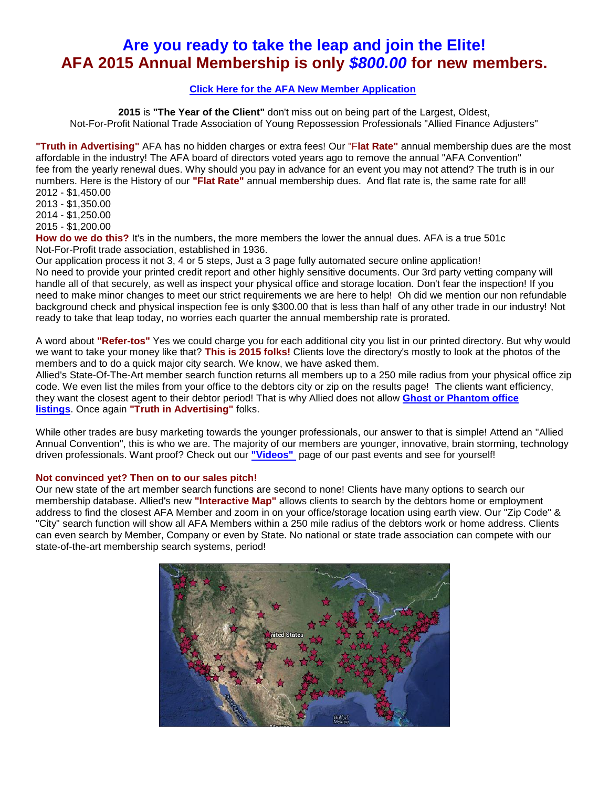# **Are you ready to take the leap and join the Elite! AFA 2015 Annual Membership is only** *\$800.00* **for new members.**

## **[Click Here for the AFA New Member Application](http://www.alliedfinanceadjusters.com/BecomeAMember.aspx)**

**2015** is **"The Year of the Client"** don't miss out on being part of the Largest, Oldest, Not-For-Profit National Trade Association of Young Repossession Professionals "Allied Finance Adjusters"

**"Truth in Advertising"** AFA has no hidden charges or extra fees! Our "F**lat Rate"** annual membership dues are the most affordable in the industry! The AFA board of directors voted years ago to remove the annual "AFA Convention" fee from the yearly renewal dues. Why should you pay in advance for an event you may not attend? The truth is in our numbers. Here is the History of our **"Flat Rate"** annual membership dues. And flat rate is, the same rate for all! 2012 - \$1,450.00

2013 - \$1,350.00

2014 - \$1,250.00

2015 - \$1,200.00

**How do we do this?** It's in the numbers, the more members the lower the annual dues. AFA is a true 501c Not-For-Profit trade association, established in 1936.

Our application process it not 3, 4 or 5 steps, Just a 3 page fully automated secure online application! No need to provide your printed credit report and other highly sensitive documents. Our 3rd party vetting company will handle all of that securely, as well as inspect your physical office and storage location. Don't fear the inspection! If you need to make minor changes to meet our strict requirements we are here to help! Oh did we mention our non refundable background check and physical inspection fee is only \$300.00 that is less than half of any other trade in our industry! Not ready to take that leap today, no worries each quarter the annual membership rate is prorated.

A word about **"Refer-tos"** Yes we could charge you for each additional city you list in our printed directory. But why would we want to take your money like that? **This is 2015 folks!** Clients love the directory's mostly to look at the photos of the members and to do a quick major city search. We know, we have asked them.

Allied's State-Of-The-Art member search function returns all members up to a 250 mile radius from your physical office zip code. We even list the miles from your office to the debtors city or zip on the results page! The clients want efficiency, they want the closest agent to their debtor period! That is why Allied does not allow **[Ghost or Phantom office](http://www.alliedfinanceadjusters.com/Lenders.aspx)  [listings](http://www.alliedfinanceadjusters.com/Lenders.aspx)**. Once again **"Truth in Advertising"** folks.

While other trades are busy marketing towards the younger professionals, our answer to that is simple! Attend an "Allied Annual Convention", this is who we are. The majority of our members are younger, innovative, brain storming, technology driven professionals. Want proof? Check out our **["Videos"](http://www.alliedfinanceadjusters.com/Videos.aspx)** page of our past events and see for yourself!

## **Not convinced yet? Then on to our sales pitch!**

Our new state of the art member search functions are second to none! Clients have many options to search our membership database. Allied's new **"Interactive Map"** allows clients to search by the debtors home or employment address to find the closest AFA Member and zoom in on your office/storage location using earth view. Our "Zip Code" & "City" search function will show all AFA Members within a 250 mile radius of the debtors work or home address. Clients can even search by Member, Company or even by State. No national or state trade association can compete with our state-of-the-art membership search systems, period!

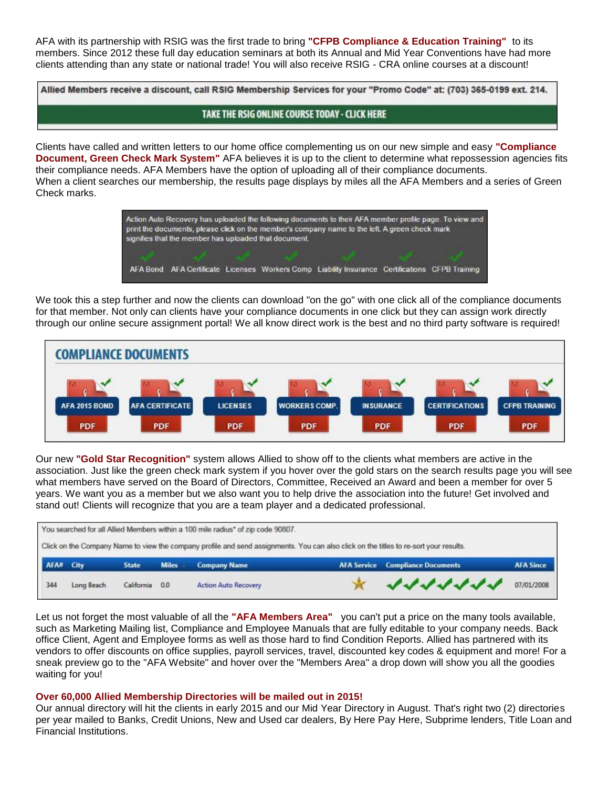AFA with its partnership with RSIG was the first trade to bring **"CFPB Compliance & Education Training"** to its members. Since 2012 these full day education seminars at both its Annual and Mid Year Conventions have had more clients attending than any state or national trade! You will also receive RSIG - CRA online courses at a discount!

Allied Members receive a discount, call RSIG Membership Services for your "Promo Code" at: (703) 365-0199 ext. 214.

TAKE THE RSIG ONLINE COURSE TODAY - CLICK HERE

Clients have called and written letters to our home office complementing us on our new simple and easy **"Compliance Document, Green Check Mark System"** AFA believes it is up to the client to determine what repossession agencies fits their compliance needs. AFA Members have the option of uploading all of their compliance documents. When a client searches our membership, the results page displays by miles all the AFA Members and a series of Green Check marks.



We took this a step further and now the clients can download "on the go" with one click all of the compliance documents for that member. Not only can clients have your compliance documents in one click but they can assign work directly through our online secure assignment portal! We all know direct work is the best and no third party software is required!



Our new **"Gold Star Recognition"** system allows Allied to show off to the clients what members are active in the association. Just like the green check mark system if you hover over the gold stars on the search results page you will see what members have served on the Board of Directors, Committee, Received an Award and been a member for over 5 years. We want you as a member but we also want you to help drive the association into the future! Get involved and stand out! Clients will recognize that you are a team player and a dedicated professional.

| You searched for all Allied Members within a 100 mile radius* of zip code 90807.                                                      |  |              |              |                     |  |                                         |                  |
|---------------------------------------------------------------------------------------------------------------------------------------|--|--------------|--------------|---------------------|--|-----------------------------------------|------------------|
| Click on the Company Name to view the company profile and send assignments. You can also click on the titles to re-sort your results. |  |              |              |                     |  |                                         |                  |
| AFA# City                                                                                                                             |  | <b>State</b> | <b>Miles</b> | <b>Company Name</b> |  | <b>AFA Service Compliance Documents</b> | <b>AFA Since</b> |
|                                                                                                                                       |  |              |              |                     |  |                                         |                  |

Let us not forget the most valuable of all the **"AFA Members Area"** you can't put a price on the many tools available, such as Marketing Mailing list, Compliance and Employee Manuals that are fully editable to your company needs. Back office Client, Agent and Employee forms as well as those hard to find Condition Reports. Allied has partnered with its vendors to offer discounts on office supplies, payroll services, travel, discounted key codes & equipment and more! For a sneak preview go to the "AFA Website" and hover over the "Members Area" a drop down will show you all the goodies waiting for you!

### **Over 60,000 Allied Membership Directories will be mailed out in 2015!**

Our annual directory will hit the clients in early 2015 and our Mid Year Directory in August. That's right two (2) directories per year mailed to Banks, Credit Unions, New and Used car dealers, By Here Pay Here, Subprime lenders, Title Loan and Financial Institutions.